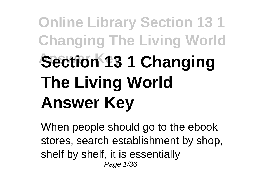## **Online Library Section 13 1 Changing The Living World Section 13 1 Changing The Living World Answer Key**

When people should go to the ebook stores, search establishment by shop, shelf by shelf, it is essentially Page 1/36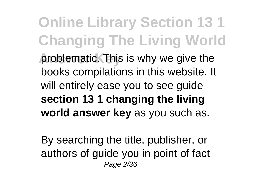**Online Library Section 13 1 Changing The Living World problematic. This is why we give the** books compilations in this website. It will entirely ease you to see guide **section 13 1 changing the living world answer key** as you such as.

By searching the title, publisher, or authors of guide you in point of fact Page 2/36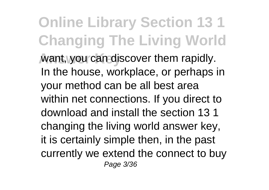**Online Library Section 13 1 Changing The Living World Want, you can discover them rapidly.** In the house, workplace, or perhaps in your method can be all best area within net connections. If you direct to download and install the section 13 1 changing the living world answer key, it is certainly simple then, in the past currently we extend the connect to buy Page 3/36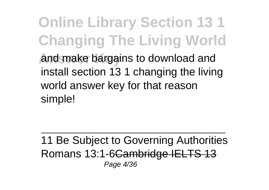**Online Library Section 13 1 Changing The Living World Answer Key** and make bargains to download and install section 13 1 changing the living world answer key for that reason simple!

11 Be Subject to Governing Authorities Romans 13:1-6Cambridge IELTS 13 Page 4/36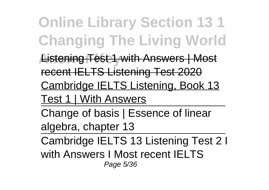**Online Library Section 13 1 Changing The Living World Listening Test 1 with Answers | Most** recent IELTS Listening Test 2020 Cambridge IELTS Listening, Book 13 Test 1 | With Answers Change of basis | Essence of linear algebra, chapter 13 Cambridge IELTS 13 Listening Test 2 I with Answers I Most recent IELTS Page 5/36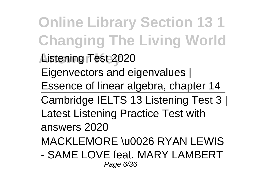**Online Library Section 13 1 Changing The Living World**

**Answer Key** Listening Test 2020

Eigenvectors and eigenvalues |

Essence of linear algebra, chapter 14

Cambridge IELTS 13 Listening Test 3 | Latest Listening Practice Test with answers 2020

MACKLEMORE \u0026 RYAN LEWIS

- SAME LOVE feat. MARY LAMBERT Page 6/36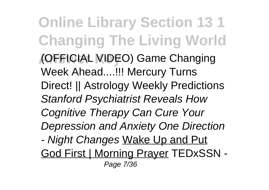**Online Library Section 13 1 Changing The Living World Answer Key** (OFFICIAL VIDEO) Game Changing Week Ahead....!!! Mercury Turns Direct! || Astrology Weekly Predictions Stanford Psychiatrist Reveals How Cognitive Therapy Can Cure Your Depression and Anxiety One Direction - Night Changes Wake Up and Put God First | Morning Prayer TEDxSSN - Page 7/36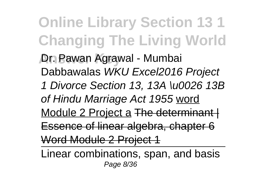**Online Library Section 13 1 Changing The Living World Answer Key** Dr. Pawan Agrawal - Mumbai Dabbawalas WKU Excel2016 Project 1 Divorce Section 13, 13A \u0026 13B of Hindu Marriage Act 1955 word Module 2 Project a The determinant | Essence of linear algebra, chapter 6 Word Module 2 Project 1

Linear combinations, span, and basis Page 8/36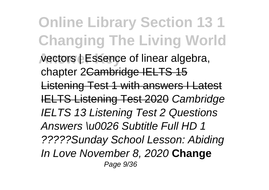**Online Library Section 13 1 Changing The Living World Answer Key** vectors | Essence of linear algebra, chapter 2Cambridge IELTS 15 Listening Test 1 with answers I Latest IELTS Listening Test 2020 Cambridge IELTS 13 Listening Test 2 Questions Answers \u0026 Subtitle Full HD 1 ?????Sunday School Lesson: Abiding In Love November 8, 2020 **Change** Page 9/36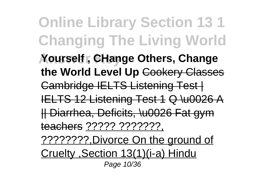**Online Library Section 13 1 Changing The Living World Answer Key Yourself , CHange Others, Change the World Level Up** Cookery Classes Cambridge IELTS Listening Test | IELTS 12 Listening Test 1 Q \u0026 A || Diarrhea, Deficits, \u0026 Fat gym teachers ????? ???????, ????????,Divorce On the ground of Cruelty ,Section 13(1)(i-a) Hindu Page 10/36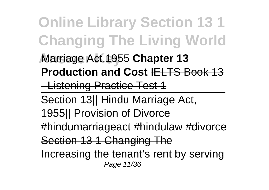**Online Library Section 13 1 Changing The Living World Answer Key** Marriage Act,1955 **Chapter 13 Production and Cost IELTS Book 13** - Listening Practice Test 1 Section 13|| Hindu Marriage Act, 1955|| Provision of Divorce #hindumarriageact #hindulaw #divorce Section 13 1 Changing The Increasing the tenant's rent by serving Page 11/36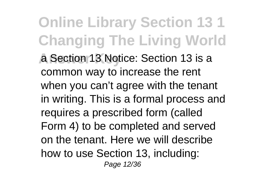**Online Library Section 13 1 Changing The Living World A** Section 13 Notice: Section 13 is a common way to increase the rent when you can't agree with the tenant in writing. This is a formal process and requires a prescribed form (called Form 4) to be completed and served on the tenant. Here we will describe how to use Section 13, including: Page 12/36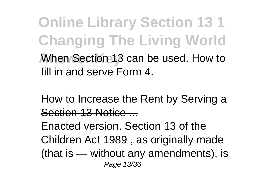**Online Library Section 13 1 Changing The Living World Answer Key** When Section 13 can be used. How to fill in and serve Form 4.

How to Increase the Rent by Serving a Section 13 Notice Enacted version. Section 13 of the Children Act 1989 , as originally made (that is — without any amendments), is Page 13/36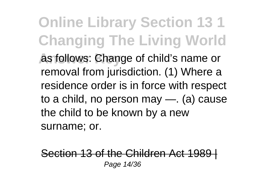**Online Library Section 13 1 Changing The Living World As follows: Change of child's name or** removal from jurisdiction. (1) Where a residence order is in force with respect to a child, no person may —. (a) cause the child to be known by a new surname; or.

Section 13 of the Children Act 1989 Page 14/36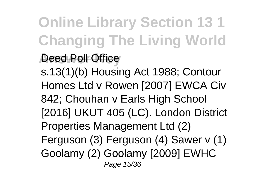**Online Library Section 13 1 Changing The Living World**

## **Anset Poll Office**

s.13(1)(b) Housing Act 1988; Contour Homes Ltd v Rowen [2007] EWCA Civ 842; Chouhan v Earls High School [2016] UKUT 405 (LC). London District Properties Management Ltd (2) Ferguson (3) Ferguson (4) Sawer v (1) Goolamy (2) Goolamy [2009] EWHC Page 15/36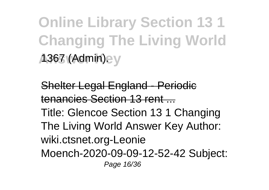**Online Library Section 13 1 Changing The Living World A367 (Admin).** 

Shelter Legal England - Periodic tenancies Section 13 rent Title: Glencoe Section 13 1 Changing The Living World Answer Key Author: wiki.ctsnet.org-Leonie Moench-2020-09-09-12-52-42 Subject: Page 16/36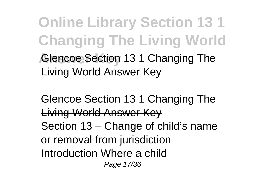**Online Library Section 13 1 Changing The Living World Glencoe Section 13 1 Changing The** Living World Answer Key

Glencoe Section 13 1 Changing The Living World Answer Key Section 13 – Change of child's name or removal from jurisdiction Introduction Where a child Page 17/36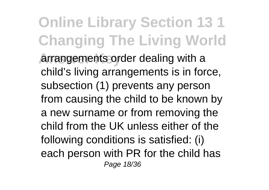**Online Library Section 13 1 Changing The Living World Answer Arrangements order dealing with a** child's living arrangements is in force, subsection (1) prevents any person from causing the child to be known by a new surname or from removing the child from the UK unless either of the following conditions is satisfied: (i) each person with PR for the child has Page 18/36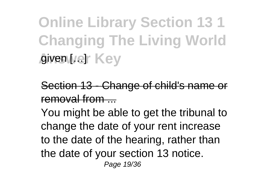**Online Library Section 13 1 Changing The Living World A** given [/e] Key

Section 13 - Change of child's name or removal from

You might be able to get the tribunal to change the date of your rent increase to the date of the hearing, rather than the date of your section 13 notice. Page 19/36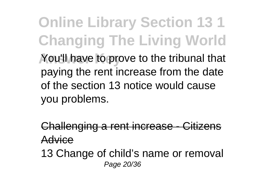**Online Library Section 13 1 Changing The Living World** You'll have to prove to the tribunal that paying the rent increase from the date of the section 13 notice would cause you problems.

Challenging a rent increase - Citizens Advice

13 Change of child's name or removal Page 20/36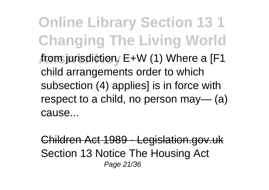**Online Library Section 13 1 Changing The Living World Answer Key** from jurisdiction. E+W (1) Where a [F1 child arrangements order to which subsection (4) applies] is in force with respect to a child, no person may— (a) cause...

Children Act 1989 - Legislation.gov.uk Section 13 Notice The Housing Act Page 21/36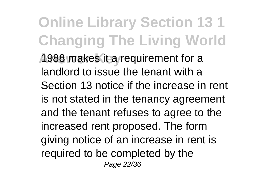**Online Library Section 13 1 Changing The Living World Answer Key** 1988 makes it a requirement for a landlord to issue the tenant with a Section 13 notice if the increase in rent is not stated in the tenancy agreement and the tenant refuses to agree to the increased rent proposed. The form giving notice of an increase in rent is required to be completed by the Page 22/36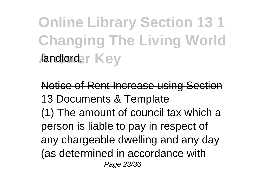**Online Library Section 13 1 Changing The Living World Andlorder Key** 

Notice of Rent Increase using Section 13 Documents & Template (1) The amount of council tax which a person is liable to pay in respect of any chargeable dwelling and any day (as determined in accordance with Page 23/36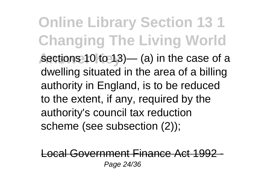**Online Library Section 13 1 Changing The Living World** sections 10 to 13)— (a) in the case of a dwelling situated in the area of a billing authority in England, is to be reduced to the extent, if any, required by the authority's council tax reduction scheme (see subsection (2));

Local Government Finance Act 1992 - Page 24/36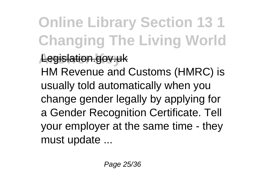**Online Library Section 13 1 Changing The Living World Answer Key** Legislation.gov.uk HM Revenue and Customs (HMRC) is usually told automatically when you change gender legally by applying for a Gender Recognition Certificate. Tell your employer at the same time - they must update ...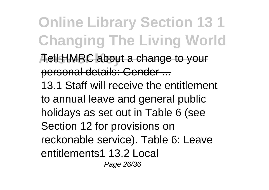**Online Library Section 13 1 Changing The Living World A** ell HMRC about a change to your personal details: Gender ... 13.1 Staff will receive the entitlement to annual leave and general public holidays as set out in Table 6 (see Section 12 for provisions on reckonable service). Table 6: Leave entitlements1 13.2 Local Page 26/36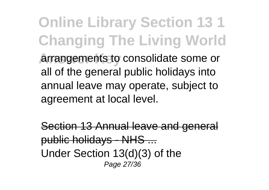**Online Library Section 13 1 Changing The Living World Answer Key** arrangements to consolidate some or all of the general public holidays into annual leave may operate, subject to agreement at local level.

Section 13 Annual leave and general public holidays - NHS ... Under Section 13(d)(3) of the Page 27/36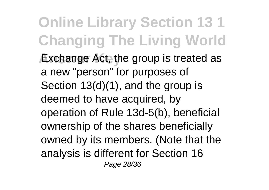**Online Library Section 13 1 Changing The Living World Exchange Act, the group is treated as** a new "person" for purposes of Section 13(d)(1), and the group is deemed to have acquired, by operation of Rule 13d-5(b), beneficial ownership of the shares beneficially owned by its members. (Note that the analysis is different for Section 16 Page 28/36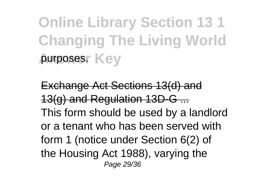**Online Library Section 13 1 Changing The Living World** purposes. Key

Exchange Act Sections 13(d) and 13(g) and Regulation 13D-G ... This form should be used by a landlord or a tenant who has been served with form 1 (notice under Section 6(2) of the Housing Act 1988), varying the Page 29/36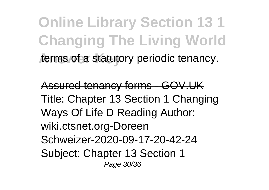**Online Library Section 13 1 Changing The Living World** terms of a statutory periodic tenancy.

Assured tenancy forms - GOV.UK Title: Chapter 13 Section 1 Changing Ways Of Life D Reading Author: wiki.ctsnet.org-Doreen Schweizer-2020-09-17-20-42-24 Subject: Chapter 13 Section 1 Page 30/36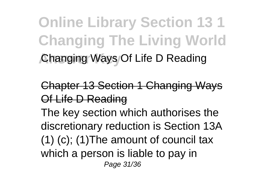**Online Library Section 13 1 Changing The Living World Changing Ways Of Life D Reading** 

Chapter 13 Section 1 Changing Ways Of Life D Reading The key section which authorises the discretionary reduction is Section 13A (1) (c); (1)The amount of council tax which a person is liable to pay in Page 31/36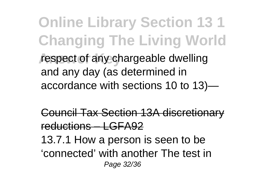**Online Library Section 13 1 Changing The Living World** respect of any chargeable dwelling and any day (as determined in accordance with sections 10 to 13)—

Council Tax Section 13A discretionary reductions – LGFA92 13.7.1 How a person is seen to be 'connected' with another The test in Page 32/36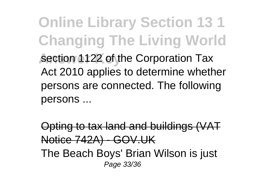**Online Library Section 13 1 Changing The Living World Section 1122 of the Corporation Tax** Act 2010 applies to determine whether persons are connected. The following persons ...

Opting to tax land and buildings (VAT Notice 742A) - GOV.UK The Beach Boys' Brian Wilson is just Page 33/36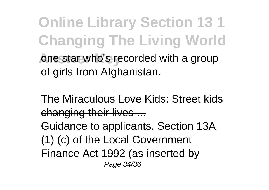**Online Library Section 13 1 Changing The Living World One star who's recorded with a group** of girls from Afghanistan.

The Miraculous Love Kids: Street kids changing their lives ... Guidance to applicants. Section 13A (1) (c) of the Local Government Finance Act 1992 (as inserted by Page 34/36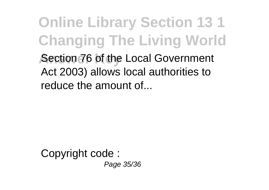**Online Library Section 13 1 Changing The Living World Answer Considers** Analytical Government Act 2003) allows local authorities to reduce the amount of...

Copyright code : Page 35/36